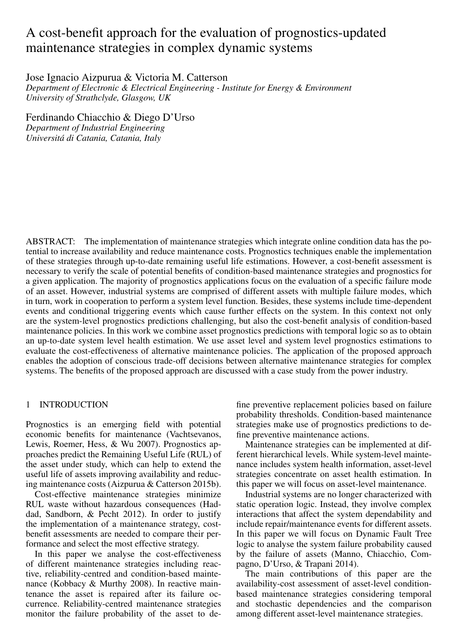# A cost-benefit approach for the evaluation of prognostics-updated maintenance strategies in complex dynamic systems

Jose Ignacio Aizpurua & Victoria M. Catterson

*Department of Electronic & Electrical Engineering - Institute for Energy & Environment University of Strathclyde, Glasgow, UK*

Ferdinando Chiacchio & Diego D'Urso *Department of Industrial Engineering Universita di Catania, Catania, Italy ´*

ABSTRACT: The implementation of maintenance strategies which integrate online condition data has the potential to increase availability and reduce maintenance costs. Prognostics techniques enable the implementation of these strategies through up-to-date remaining useful life estimations. However, a cost-benefit assessment is necessary to verify the scale of potential benefits of condition-based maintenance strategies and prognostics for a given application. The majority of prognostics applications focus on the evaluation of a specific failure mode of an asset. However, industrial systems are comprised of different assets with multiple failure modes, which in turn, work in cooperation to perform a system level function. Besides, these systems include time-dependent events and conditional triggering events which cause further effects on the system. In this context not only are the system-level prognostics predictions challenging, but also the cost-benefit analysis of condition-based maintenance policies. In this work we combine asset prognostics predictions with temporal logic so as to obtain an up-to-date system level health estimation. We use asset level and system level prognostics estimations to evaluate the cost-effectiveness of alternative maintenance policies. The application of the proposed approach enables the adoption of conscious trade-off decisions between alternative maintenance strategies for complex systems. The benefits of the proposed approach are discussed with a case study from the power industry.

# 1 INTRODUCTION

Prognostics is an emerging field with potential economic benefits for maintenance (Vachtsevanos, Lewis, Roemer, Hess, & Wu 2007). Prognostics approaches predict the Remaining Useful Life (RUL) of the asset under study, which can help to extend the useful life of assets improving availability and reducing maintenance costs (Aizpurua & Catterson 2015b).

Cost-effective maintenance strategies minimize RUL waste without hazardous consequences (Haddad, Sandborn, & Pecht 2012). In order to justify the implementation of a maintenance strategy, costbenefit assessments are needed to compare their performance and select the most effective strategy.

In this paper we analyse the cost-effectiveness of different maintenance strategies including reactive, reliability-centred and condition-based maintenance (Kobbacy & Murthy 2008). In reactive maintenance the asset is repaired after its failure occurrence. Reliability-centred maintenance strategies monitor the failure probability of the asset to de-

fine preventive replacement policies based on failure probability thresholds. Condition-based maintenance strategies make use of prognostics predictions to define preventive maintenance actions.

Maintenance strategies can be implemented at different hierarchical levels. While system-level maintenance includes system health information, asset-level strategies concentrate on asset health estimation. In this paper we will focus on asset-level maintenance.

Industrial systems are no longer characterized with static operation logic. Instead, they involve complex interactions that affect the system dependability and include repair/maintenance events for different assets. In this paper we will focus on Dynamic Fault Tree logic to analyse the system failure probability caused by the failure of assets (Manno, Chiacchio, Compagno, D'Urso, & Trapani 2014).

The main contributions of this paper are the availability-cost assessment of asset-level conditionbased maintenance strategies considering temporal and stochastic dependencies and the comparison among different asset-level maintenance strategies.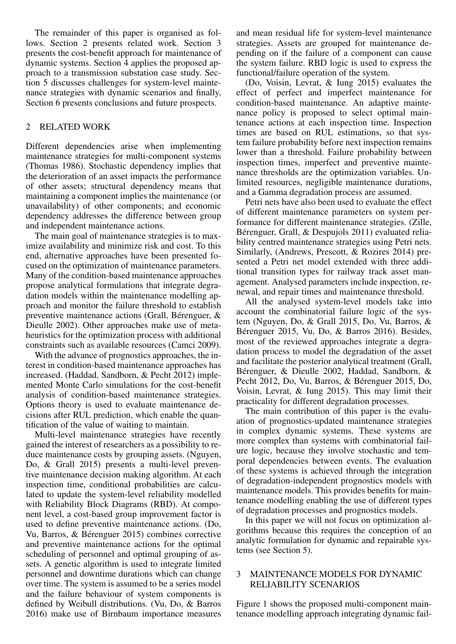The remainder of this paper is organised as follows. Section 2 presents related work. Section 3 presents the cost-benefit approach for maintenance of dynamic systems. Section 4 applies the proposed approach to a transmission substation case study. Section 5 discusses challenges for system-level maintenance strategies with dynamic scenarios and finally, Section 6 presents conclusions and future prospects.

# 2 RELATED WORK

Different dependencies arise when implementing maintenance strategies for multi-component systems (Thomas 1986). Stochastic dependency implies that the deterioration of an asset impacts the performance of other assets; structural dependency means that maintaining a component implies the maintenance (or unavailability) of other components; and economic dependency addresses the difference between group and independent maintenance actions.

The main goal of maintenance strategies is to maximize availability and minimize risk and cost. To this end, alternative approaches have been presented focused on the optimization of maintenance parameters. Many of the condition-based maintenance approaches propose analytical formulations that integrate degradation models within the maintenance modelling approach and monitor the failure threshold to establish preventive maintenance actions (Grall, Bérenguer,  $\&$ Dieulle 2002). Other approaches make use of metaheuristics for the optimization process with additional constraints such as available resources (Camci 2009).

With the advance of prognostics approaches, the interest in condition-based maintenance approaches has increased. (Haddad, Sandborn, & Pecht 2012) implemented Monte Carlo simulations for the cost-benefit analysis of condition-based maintenance strategies. Options theory is used to evaluate maintenance decisions after RUL prediction, which enable the quantification of the value of waiting to maintain.

Multi-level maintenance strategies have recently gained the interest of researchers as a possibility to reduce maintenance costs by grouping assets. (Nguyen, Do, & Grall 2015) presents a multi-level preventive maintenance decision making algorithm. At each inspection time, conditional probabilities are calculated to update the system-level reliability modelled with Reliability Block Diagrams (RBD). At component level, a cost-based group improvement factor is used to define preventive maintenance actions. (Do, Vu, Barros, & Bérenguer 2015) combines corrective and preventive maintenance actions for the optimal scheduling of personnel and optimal grouping of assets. A genetic algorithm is used to integrate limited personnel and downtime durations which can change over time. The system is assumed to be a series model and the failure behaviour of system components is defined by Weibull distributions. (Vu, Do, & Barros 2016) make use of Birnbaum importance measures

and mean residual life for system-level maintenance strategies. Assets are grouped for maintenance depending on if the failure of a component can cause the system failure. RBD logic is used to express the functional/failure operation of the system.

(Do, Voisin, Levrat, & Iung 2015) evaluates the effect of perfect and imperfect maintenance for condition-based maintenance. An adaptive maintenance policy is proposed to select optimal maintenance actions at each inspection time. Inspection times are based on RUL estimations, so that system failure probability before next inspection remains lower than a threshold. Failure probability between inspection times, imperfect and preventive maintenance thresholds are the optimization variables. Unlimited resources, negligible maintenance durations, and a Gamma degradation process are assumed.

Petri nets have also been used to evaluate the effect of different maintenance parameters on system performance for different maintenance strategies. (Zille, Bérenguer, Grall, & Despujols 2011) evaluated reliability centred maintenance strategies using Petri nets. Similarly, (Andrews, Prescott, & Rozires 2014) presented a Petri net model extended with three additional transition types for railway track asset management. Analysed parameters include inspection, renewal, and repair times and maintenance threshold.

All the analysed system-level models take into account the combinatorial failure logic of the system (Nguyen, Do, & Grall 2015, Do, Vu, Barros, & Bérenguer 2015, Vu, Do, & Barros 2016). Besides, most of the reviewed approaches integrate a degradation process to model the degradation of the asset and facilitate the posterior analytical treatment (Grall, Bérenguer, & Dieulle 2002, Haddad, Sandborn, & Pecht 2012, Do, Vu, Barros, & Bérenguer 2015, Do, Voisin, Levrat, & Iung 2015). This may limit their practicality for different degradation processes.

The main contribution of this paper is the evaluation of prognostics-updated maintenance strategies in complex dynamic systems. These systems are more complex than systems with combinatorial failure logic, because they involve stochastic and temporal dependencies between events. The evaluation of these systems is achieved through the integration of degradation-independent prognostics models with maintenance models. This provides benefits for maintenance modelling enabling the use of different types of degradation processes and prognostics models.

In this paper we will not focus on optimization algorithms because this requires the conception of an analytic formulation for dynamic and repairable systems (see Section 5).

# 3 MAINTENANCE MODELS FOR DYNAMIC RELIABILITY SCENARIOS

Figure 1 shows the proposed multi-component maintenance modelling approach integrating dynamic fail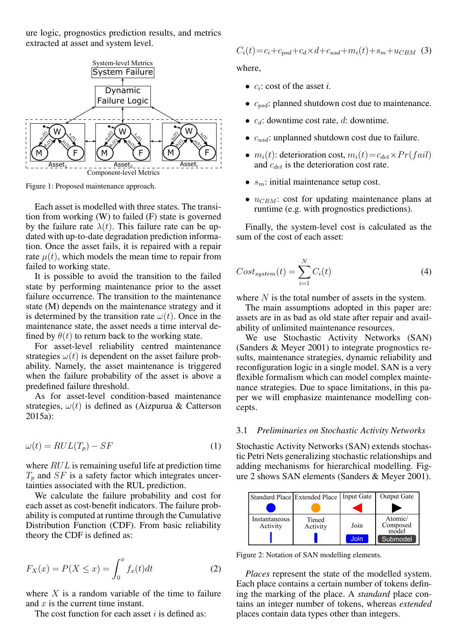ure logic, prognostics prediction results, and metrics extracted at asset and system level.



Figure 1: Proposed maintenance approach.

Each asset is modelled with three states. The transition from working (W) to failed (F) state is governed by the failure rate  $\lambda(t)$ . This failure rate can be updated with up-to-date degradation prediction information. Once the asset fails, it is repaired with a repair rate  $\mu(t)$ , which models the mean time to repair from failed to working state.

It is possible to avoid the transition to the failed state by performing maintenance prior to the asset failure occurrence. The transition to the maintenance state (M) depends on the maintenance strategy and it is determined by the transition rate  $\omega(t)$ . Once in the maintenance state, the asset needs a time interval defined by  $\theta(t)$  to return back to the working state.

For asset-level reliability centred maintenance strategies  $\omega(t)$  is dependent on the asset failure probability. Namely, the asset maintenance is triggered when the failure probability of the asset is above a predefined failure threshold.

As for asset-level condition-based maintenance strategies,  $\omega(t)$  is defined as (Aizpurua & Catterson 2015a):

$$
\omega(t) = RUL(T_p) - SF \tag{1}
$$

where  $RUL$  is remaining useful life at prediction time  $T_p$  and  $SF$  is a safety factor which integrates uncertainties associated with the RUL prediction.

We calculate the failure probability and cost for each asset as cost-benefit indicators. The failure probability is computed at runtime through the Cumulative Distribution Function (CDF). From basic reliability theory the CDF is defined as:

$$
F_X(x) = P(X \le x) = \int_0^x f_x(t)dt
$$
 (2)

where  $X$  is a random variable of the time to failure and  $x$  is the current time instant.

The cost function for each asset  $i$  is defined as:

$$
C_i(t) = c_i + c_{psd} + c_d \times d + c_{usd} + m_i(t) + s_m + u_{CBM}
$$
 (3)

where,

- $c_i$ : cost of the asset *i*.
- $c_{psd}$ : planned shutdown cost due to maintenance.
- $c_d$ : downtime cost rate, d: downtime.
- $c_{nsd}$ : unplanned shutdown cost due to failure.
- $m_i(t)$ : deterioration cost,  $m_i(t) = c_{det} \times Pr(fail)$ and  $c_{det}$  is the deterioration cost rate.
- $s_m$ : initial maintenance setup cost.
- $u_{CBM}$ : cost for updating maintenance plans at runtime (e.g. with prognostics predictions).

Finally, the system-level cost is calculated as the sum of the cost of each asset:

$$
Cost_{system}(t) = \sum_{i=1}^{N} C_i(t)
$$
\n(4)

where  $N$  is the total number of assets in the system.

The main assumptions adopted in this paper are: assets are in as bad as old state after repair and availability of unlimited maintenance resources.

We use Stochastic Activity Networks (SAN) (Sanders & Meyer 2001) to integrate prognostics results, maintenance strategies, dynamic reliability and reconfiguration logic in a single model. SAN is a very flexible formalism which can model complex maintenance strategies. Due to space limitations, in this paper we will emphasize maintenance modelling concepts.

## 3.1 *Preliminaries on Stochastic Activity Networks*

Stochastic Activity Networks (SAN) extends stochastic Petri Nets generalizing stochastic relationships and adding mechanisms for hierarchical modelling. Figure 2 shows SAN elements (Sanders & Meyer 2001).

|                           | Standard Place Extended Place   Input Gate |      | <b>Output Gate</b>           |
|---------------------------|--------------------------------------------|------|------------------------------|
|                           |                                            |      |                              |
| Instantaneous<br>Activity | Timed<br>Activity                          | Join | Atomic/<br>Composed<br>model |
|                           |                                            | Join | Submodel                     |

Figure 2: Notation of SAN modelling elements.

*Places* represent the state of the modelled system. Each place contains a certain number of tokens defining the marking of the place. A *standard* place contains an integer number of tokens, whereas *extended* places contain data types other than integers.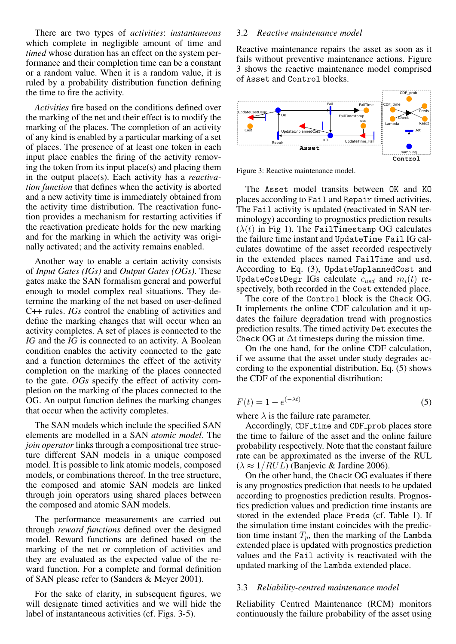There are two types of *activities*: *instantaneous* which complete in negligible amount of time and *timed* whose duration has an effect on the system performance and their completion time can be a constant or a random value. When it is a random value, it is ruled by a probability distribution function defining the time to fire the activity.

*Activities* fire based on the conditions defined over the marking of the net and their effect is to modify the marking of the places. The completion of an activity of any kind is enabled by a particular marking of a set of places. The presence of at least one token in each input place enables the firing of the activity removing the token from its input place(s) and placing them in the output place(s). Each activity has a *reactivation function* that defines when the activity is aborted and a new activity time is immediately obtained from the activity time distribution. The reactivation function provides a mechanism for restarting activities if the reactivation predicate holds for the new marking and for the marking in which the activity was originally activated; and the activity remains enabled.

Another way to enable a certain activity consists of *Input Gates (IGs)* and *Output Gates (OGs)*. These gates make the SAN formalism general and powerful enough to model complex real situations. They determine the marking of the net based on user-defined C++ rules. *IGs* control the enabling of activities and define the marking changes that will occur when an activity completes. A set of places is connected to the *IG* and the *IG* is connected to an activity. A Boolean condition enables the activity connected to the gate and a function determines the effect of the activity completion on the marking of the places connected to the gate. *OGs* specify the effect of activity completion on the marking of the places connected to the OG. An output function defines the marking changes that occur when the activity completes.

The SAN models which include the specified SAN elements are modelled in a SAN *atomic model*. The *join operator* links through a compositional tree structure different SAN models in a unique composed model. It is possible to link atomic models, composed models, or combinations thereof. In the tree structure, the composed and atomic SAN models are linked through join operators using shared places between the composed and atomic SAN models.

The performance measurements are carried out through *reward functions* defined over the designed model. Reward functions are defined based on the marking of the net or completion of activities and they are evaluated as the expected value of the reward function. For a complete and formal definition of SAN please refer to (Sanders & Meyer 2001).

For the sake of clarity, in subsequent figures, we will designate timed activities and we will hide the label of instantaneous activities (cf. Figs. 3-5).

## 3.2 *Reactive maintenance model*

Reactive maintenance repairs the asset as soon as it fails without preventive maintenance actions. Figure 3 shows the reactive maintenance model comprised of Asset and Control blocks.





The Asset model transits between OK and KO places according to Fail and Repair timed activities. The Fail activity is updated (reactivated in SAN terminology) according to prognostics prediction results  $(\lambda(t)$  in Fig 1). The FailTimestamp OG calculates the failure time instant and UpdateTime Fail IG calculates downtime of the asset recorded respectively in the extended places named FailTime and usd. According to Eq. (3), UpdateUnplannedCost and UpdateCostDegr IGs calculate  $c_{usd}$  and  $m_i(t)$  respectively, both recorded in the Cost extended place.

The core of the Control block is the Check OG. It implements the online CDF calculation and it updates the failure degradation trend with prognostics prediction results. The timed activity Det executes the Check OG at  $\Delta t$  timesteps during the mission time.

On the one hand, for the online CDF calculation, if we assume that the asset under study degrades according to the exponential distribution, Eq. (5) shows the CDF of the exponential distribution:

$$
F(t) = 1 - e^{(-\lambda t)}
$$
\n<sup>(5)</sup>

where  $\lambda$  is the failure rate parameter.

Accordingly, CDF\_time and CDF\_prob places store the time to failure of the asset and the online failure probability respectively. Note that the constant failure rate can be approximated as the inverse of the RUL  $(\lambda \approx 1/RUL)$  (Banjevic & Jardine 2006).

On the other hand, the Check OG evaluates if there is any prognostics prediction that needs to be updated according to prognostics prediction results. Prognostics prediction values and prediction time instants are stored in the extended place Preds (cf. Table 1). If the simulation time instant coincides with the prediction time instant  $T_p$ , then the marking of the Lambda extended place is updated with prognostics prediction values and the Fail activity is reactivated with the updated marking of the Lambda extended place.

#### 3.3 *Reliability-centred maintenance model*

Reliability Centred Maintenance (RCM) monitors continuously the failure probability of the asset using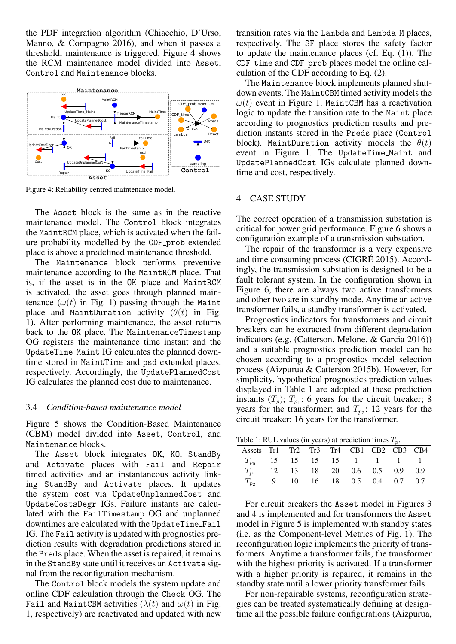the PDF integration algorithm (Chiacchio, D'Urso, Manno, & Compagno 2016), and when it passes a threshold, maintenance is triggered. Figure 4 shows the RCM maintenance model divided into Asset, Control and Maintenance blocks.



Figure 4: Reliability centred maintenance model.

The Asset block is the same as in the reactive maintenance model. The Control block integrates the MaintRCM place, which is activated when the failure probability modelled by the CDF prob extended place is above a predefined maintenance threshold.

The Maintenance block performs preventive maintenance according to the MaintRCM place. That is, if the asset is in the OK place and MaintRCM is activated, the asset goes through planned maintenance  $(\omega(t)$  in Fig. 1) passing through the Maint place and MaintDuration activity  $(\theta(t))$  in Fig. 1). After performing maintenance, the asset returns back to the OK place. The MaintenanceTimestamp OG registers the maintenance time instant and the UpdateTime Maint IG calculates the planned downtime stored in MaintTime and psd extended places, respectively. Accordingly, the UpdatePlannedCost IG calculates the planned cost due to maintenance.

## 3.4 *Condition-based maintenance model*

Figure 5 shows the Condition-Based Maintenance (CBM) model divided into Asset, Control, and Maintenance blocks.

The Asset block integrates OK, KO, StandBy and Activate places with Fail and Repair timed activities and an instantaneous activity linking StandBy and Activate places. It updates the system cost via UpdateUnplannedCost and UpdateCostsDegr IGs. Failure instants are calculated with the FailTimestamp OG and unplanned downtimes are calculated with the UpdateTime Fail IG. The Fail activity is updated with prognostics prediction results with degradation predictions stored in the Preds place. When the asset is repaired, it remains in the StandBy state until it receives an Activate signal from the reconfiguration mechanism.

The Control block models the system update and online CDF calculation through the Check OG. The Fail and MaintCBM activities  $(\lambda(t))$  and  $\omega(t)$  in Fig. 1, respectively) are reactivated and updated with new transition rates via the Lambda and Lambda M places, respectively. The SF place stores the safety factor to update the maintenance places (cf. Eq. (1)). The CDF time and CDF prob places model the online calculation of the CDF according to Eq. (2).

The Maintenance block implements planned shutdown events. The MaintCBM timed activity models the  $\omega(t)$  event in Figure 1. MaintCBM has a reactivation logic to update the transition rate to the Maint place according to prognostics prediction results and prediction instants stored in the Preds place (Control block). MaintDuration activity models the  $\theta(t)$ event in Figure 1. The UpdateTime Maint and UpdatePlannedCost IGs calculate planned downtime and cost, respectively.

# 4 CASE STUDY

The correct operation of a transmission substation is critical for power grid performance. Figure 6 shows a configuration example of a transmission substation.

The repair of the transformer is a very expensive and time consuming process (CIGRÉ 2015). Accordingly, the transmission substation is designed to be a fault tolerant system. In the configuration shown in Figure 6, there are always two active transformers and other two are in standby mode. Anytime an active transformer fails, a standby transformer is activated.

Prognostics indicators for transformers and circuit breakers can be extracted from different degradation indicators (e.g. (Catterson, Melone, & Garcia 2016)) and a suitable prognostics prediction model can be chosen according to a prognostics model selection process (Aizpurua & Catterson 2015b). However, for simplicity, hypothetical prognostics prediction values displayed in Table 1 are adopted at these prediction instants  $(T_p)$ ;  $T_{p_1}$ : 6 years for the circuit breaker; 8 years for the transformer; and  $T_{p_2}$ : 12 years for the circuit breaker; 16 years for the transformer.

Table 1: RUL values (in years) at prediction times  $T<sub>n</sub>$ 

| Assets Tr1 Tr2 Tr3 Tr4 CB1 CB2 CB3 CB4 |  |  |                                    |  |  |
|----------------------------------------|--|--|------------------------------------|--|--|
|                                        |  |  | $T_{p_0}$ 15 15 15 15 1 1 1 1      |  |  |
|                                        |  |  | 12  13  18  20  0.6  0.5  0.9  0.9 |  |  |
|                                        |  |  | 9 10 16 18 0.5 0.4 0.7 0.7         |  |  |

For circuit breakers the Asset model in Figures 3 and 4 is implemented and for transformers the Asset model in Figure 5 is implemented with standby states (i.e. as the Component-level Metrics of Fig. 1). The reconfiguration logic implements the priority of transformers. Anytime a transformer fails, the transformer with the highest priority is activated. If a transformer with a higher priority is repaired, it remains in the standby state until a lower priority transformer fails.

For non-repairable systems, reconfiguration strategies can be treated systematically defining at designtime all the possible failure configurations (Aizpurua,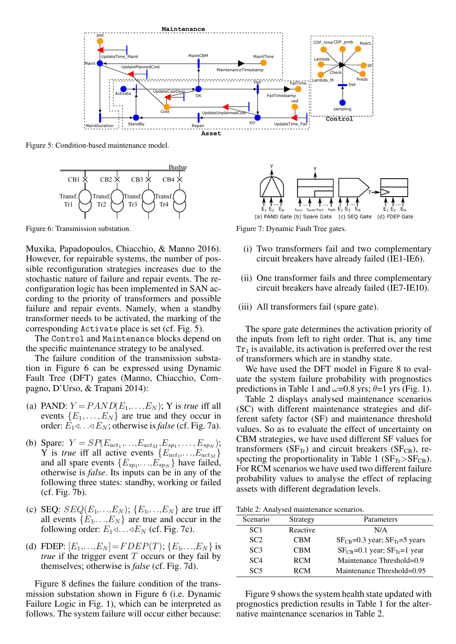

Figure 5: Condition-based maintenance model.



Figure 6: Transmission substation.

Muxika, Papadopoulos, Chiacchio, & Manno 2016). However, for repairable systems, the number of possible reconfiguration strategies increases due to the stochastic nature of failure and repair events. The reconfiguration logic has been implemented in SAN according to the priority of transformers and possible failure and repair events. Namely, when a standby transformer needs to be activated, the marking of the corresponding Activate place is set (cf. Fig. 5).

The Control and Maintenance blocks depend on the specific maintenance strategy to be analysed.

The failure condition of the transmission substation in Figure 6 can be expressed using Dynamic Fault Tree (DFT) gates (Manno, Chiacchio, Compagno, D'Urso, & Trapani 2014):

- (a) PAND:  $Y = PAND(E_1, \ldots, E_N)$ ; Y is *true* iff all events  $\{E_1, \ldots, E_N\}$  are true and they occur in order:  $E_1 \triangleleft \ldots \triangleleft E_N$ ; otherwise is *false* (cf. Fig. 7a).
- (b) Spare:  $Y = SP(E_{act_1},...,E_{act_M},E_{sp_1},...,E_{sp_N});$ Y is *true* iff all active events  $\{E_{act_1}, \ldots, E_{act_M}\}$ and all spare events  ${E_{sp_1,\ldots,E_{sp_N}}}$  have failed, otherwise is *false*. Its inputs can be in any of the following three states: standby, working or failed (cf. Fig. 7b).
- (c) SEQ:  $SEQ(E_1, \ldots, E_N)$ ;  $\{E_1, \ldots, E_N\}$  are true iff all events  $\{E_1, \ldots, E_N\}$  are true and occur in the following order:  $E_1 \triangleleft \ldots \triangleleft E_N$  (cf. Fig. 7c).
- (d) FDEP:  $[E_1, ..., E_N] = FDEP(T); \{E_1, ..., E_N\}$  is *true* if the trigger event  $T$  occurs or they fail by themselves; otherwise is *false* (cf. Fig. 7d).

Figure 8 defines the failure condition of the transmission substation shown in Figure 6 (i.e. Dynamic Failure Logic in Fig. 1), which can be interpreted as follows. The system failure will occur either because:



Figure 7: Dynamic Fault Tree gates.

- (i) Two transformers fail and two complementary circuit breakers have already failed (IE1-IE6).
- (ii) One transformer fails and three complementary circuit breakers have already failed (IE7-IE10).
- (iii) All transformers fail (spare gate).

The spare gate determines the activation priority of the inputs from left to right order. That is, any time  $Tr<sub>1</sub>$  is available, its activation is preferred over the rest of transformers which are in standby state.

We have used the DFT model in Figure 8 to evaluate the system failure probability with prognostics predictions in Table 1 and  $\omega$ =0.8 yrs;  $\theta$ =1 yrs (Fig. 1).

Table 2 displays analysed maintenance scenarios (SC) with different maintenance strategies and different safety factor (SF) and maintenance threshold values. So as to evaluate the effect of uncertainty on CBM strategies, we have used different SF values for transformers ( $SF_{Tr}$ ) and circuit breakers ( $SF_{CR}$ ), respecting the proportionality in Table 1 ( $SF_{Tr} > SF_{CB}$ ). For RCM scenarios we have used two different failure probability values to analyse the effect of replacing assets with different degradation levels.

Table 2: Analysed maintenance scenarios.

| Scenario        | Strategy   | Parameters                               |
|-----------------|------------|------------------------------------------|
| SC <sub>1</sub> | Reactive   | N/A                                      |
| SC <sub>2</sub> | <b>CBM</b> | $SF_{CR}$ =0.3 year; $SF_{Tr}$ =5 years  |
| SC <sub>3</sub> | <b>CBM</b> | $SF_{CB} = 0.1$ year; $SF_{Tr} = 1$ year |
| SC <sub>4</sub> | <b>RCM</b> | Maintenance Threshold= $0.9$             |
| SC5             | <b>RCM</b> | Maintenance Threshold=0.95               |
|                 |            |                                          |

Figure 9 shows the system health state updated with prognostics prediction results in Table 1 for the alternative maintenance scenarios in Table 2.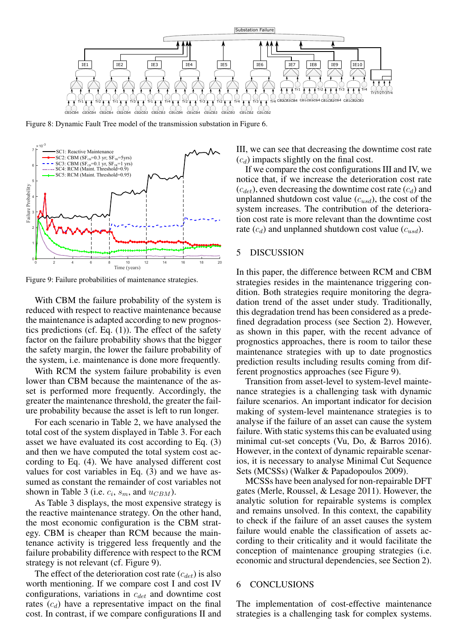

Figure 8: Dynamic Fault Tree model of the transmission substation in Figure 6.



Figure 9: Failure probabilities of maintenance strategies.

With CBM the failure probability of the system is reduced with respect to reactive maintenance because the maintenance is adapted according to new prognostics predictions (cf. Eq.  $(1)$ ). The effect of the safety factor on the failure probability shows that the bigger the safety margin, the lower the failure probability of the system, i.e. maintenance is done more frequently.

With RCM the system failure probability is even lower than CBM because the maintenance of the asset is performed more frequently. Accordingly, the greater the maintenance threshold, the greater the failure probability because the asset is left to run longer.

For each scenario in Table 2, we have analysed the total cost of the system displayed in Table 3. For each asset we have evaluated its cost according to Eq. (3) and then we have computed the total system cost according to Eq. (4). We have analysed different cost values for cost variables in Eq. (3) and we have assumed as constant the remainder of cost variables not shown in Table 3 (i.e.  $c_i$ ,  $s_m$ , and  $u_{CBM}$ ).

As Table 3 displays, the most expensive strategy is the reactive maintenance strategy. On the other hand, the most economic configuration is the CBM strategy. CBM is cheaper than RCM because the maintenance activity is triggered less frequently and the failure probability difference with respect to the RCM strategy is not relevant (cf. Figure 9).

The effect of the deterioration cost rate  $(c_{det})$  is also worth mentioning. If we compare cost I and cost IV configurations, variations in  $c_{det}$  and downtime cost rates  $(c_d)$  have a representative impact on the final cost. In contrast, if we compare configurations II and III, we can see that decreasing the downtime cost rate  $(c_d)$  impacts slightly on the final cost.

If we compare the cost configurations III and IV, we notice that, if we increase the deterioration cost rate  $(c_{det})$ , even decreasing the downtime cost rate  $(c_d)$  and unplanned shutdown cost value  $(c_{usd})$ , the cost of the system increases. The contribution of the deterioration cost rate is more relevant than the downtime cost rate  $(c_d)$  and unplanned shutdown cost value  $(c_{usd})$ .

# 5 DISCUSSION

In this paper, the difference between RCM and CBM strategies resides in the maintenance triggering condition. Both strategies require monitoring the degradation trend of the asset under study. Traditionally, this degradation trend has been considered as a predefined degradation process (see Section 2). However, as shown in this paper, with the recent advance of prognostics approaches, there is room to tailor these maintenance strategies with up to date prognostics prediction results including results coming from different prognostics approaches (see Figure 9).

Transition from asset-level to system-level maintenance strategies is a challenging task with dynamic failure scenarios. An important indicator for decision making of system-level maintenance strategies is to analyse if the failure of an asset can cause the system failure. With static systems this can be evaluated using minimal cut-set concepts (Vu, Do, & Barros 2016). However, in the context of dynamic repairable scenarios, it is necessary to analyse Minimal Cut Sequence Sets (MCSSs) (Walker & Papadopoulos 2009).

MCSSs have been analysed for non-repairable DFT gates (Merle, Roussel, & Lesage 2011). However, the analytic solution for repairable systems is complex and remains unsolved. In this context, the capability to check if the failure of an asset causes the system failure would enable the classification of assets according to their criticality and it would facilitate the conception of maintenance grouping strategies (i.e. economic and structural dependencies, see Section 2).

#### 6 CONCLUSIONS

The implementation of cost-effective maintenance strategies is a challenging task for complex systems.